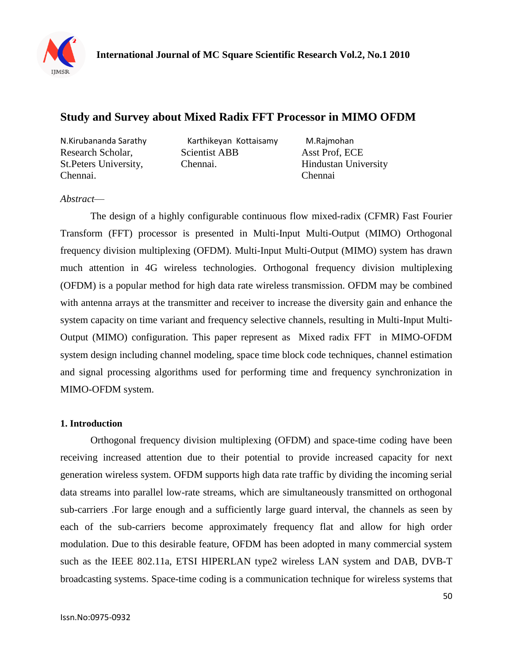

# **[Study and Survey about Mixed Radix FFT Processor in MIMO OFDM](http://ijmsr.org/pdf/paper%2010.pdf)**

Chennai. Chennai

N.Kirubananda Sarathy Karthikeyan [Kottaisamy M.Rajmohan](file:///F:\ijmsr\pdf\paper%2010.pdf) Research Scholar, Scientist ABB Asst Prof, ECE St.Peters University, Chennai. Hindustan University

## *Abstract*—

The design of a highly configurable continuous flow mixed-radix (CFMR) Fast Fourier Transform (FFT) processor is presented in Multi-Input Multi-Output (MIMO) Orthogonal frequency division multiplexing (OFDM). Multi-Input Multi-Output (MIMO) system has drawn much attention in 4G wireless technologies. Orthogonal frequency division multiplexing (OFDM) is a popular method for high data rate wireless transmission. OFDM may be combined with antenna arrays at the transmitter and receiver to increase the diversity gain and enhance the system capacity on time variant and frequency selective channels, resulting in Multi-Input Multi-Output (MIMO) configuration. This paper represent as Mixed radix FFT in MIMO-OFDM system design including channel modeling, space time block code techniques, channel estimation and signal processing algorithms used for performing time and frequency synchronization in MIMO-OFDM system.

## **1. Introduction**

Orthogonal frequency division multiplexing (OFDM) and space-time coding have been receiving increased attention due to their potential to provide increased capacity for next generation wireless system. OFDM supports high data rate traffic by dividing the incoming serial data streams into parallel low-rate streams, which are simultaneously transmitted on orthogonal sub-carriers .For large enough and a sufficiently large guard interval, the channels as seen by each of the sub-carriers become approximately frequency flat and allow for high order modulation. Due to this desirable feature, OFDM has been adopted in many commercial system such as the IEEE 802.11a, ETSI HIPERLAN type2 wireless LAN system and DAB, DVB-T broadcasting systems. Space-time coding is a communication technique for wireless systems that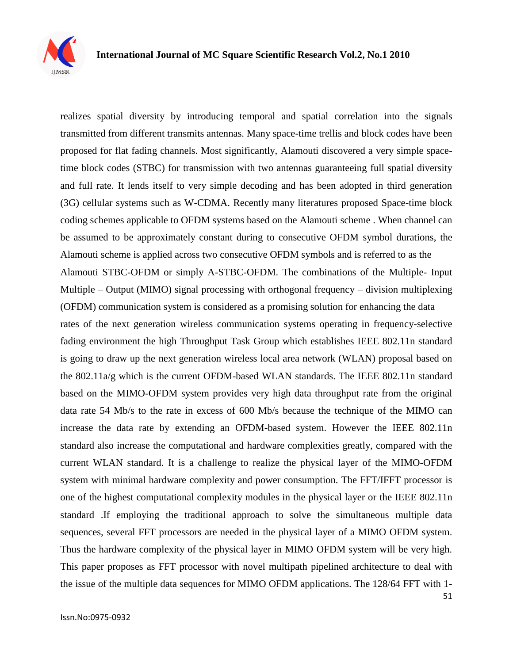

realizes spatial diversity by introducing temporal and spatial correlation into the signals transmitted from different transmits antennas. Many space-time trellis and block codes have been proposed for flat fading channels. Most significantly, Alamouti discovered a very simple spacetime block codes (STBC) for transmission with two antennas guaranteeing full spatial diversity and full rate. It lends itself to very simple decoding and has been adopted in third generation (3G) cellular systems such as W-CDMA. Recently many literatures proposed Space-time block coding schemes applicable to OFDM systems based on the Alamouti scheme . When channel can be assumed to be approximately constant during to consecutive OFDM symbol durations, the Alamouti scheme is applied across two consecutive OFDM symbols and is referred to as the Alamouti STBC-OFDM or simply A-STBC-OFDM. The combinations of the Multiple- Input Multiple – Output (MIMO) signal processing with orthogonal frequency – division multiplexing (OFDM) communication system is considered as a promising solution for enhancing the data rates of the next generation wireless communication systems operating in frequency-selective fading environment the high Throughput Task Group which establishes IEEE 802.11n standard is going to draw up the next generation wireless local area network (WLAN) proposal based on the 802.11a/g which is the current OFDM-based WLAN standards. The IEEE 802.11n standard based on the MIMO-OFDM system provides very high data throughput rate from the original data rate 54 Mb/s to the rate in excess of 600 Mb/s because the technique of the MIMO can increase the data rate by extending an OFDM-based system. However the IEEE 802.11n standard also increase the computational and hardware complexities greatly, compared with the current WLAN standard. It is a challenge to realize the physical layer of the MIMO-OFDM system with minimal hardware complexity and power consumption. The FFT/IFFT processor is one of the highest computational complexity modules in the physical layer or the IEEE 802.11n standard .If employing the traditional approach to solve the simultaneous multiple data sequences, several FFT processors are needed in the physical layer of a MIMO OFDM system. Thus the hardware complexity of the physical layer in MIMO OFDM system will be very high. This paper proposes as FFT processor with novel multipath pipelined architecture to deal with the issue of the multiple data sequences for MIMO OFDM applications. The 128/64 FFT with 1-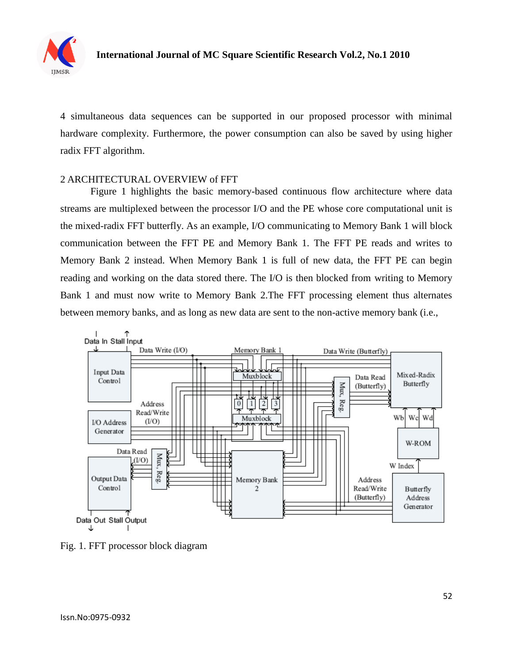

4 simultaneous data sequences can be supported in our proposed processor with minimal hardware complexity. Furthermore, the power consumption can also be saved by using higher radix FFT algorithm.

## 2 ARCHITECTURAL OVERVIEW of FFT

Figure 1 highlights the basic memory-based continuous flow architecture where data streams are multiplexed between the processor I/O and the PE whose core computational unit is the mixed-radix FFT butterfly. As an example, I/O communicating to Memory Bank 1 will block communication between the FFT PE and Memory Bank 1. The FFT PE reads and writes to Memory Bank 2 instead. When Memory Bank 1 is full of new data, the FFT PE can begin reading and working on the data stored there. The I/O is then blocked from writing to Memory Bank 1 and must now write to Memory Bank 2.The FFT processing element thus alternates between memory banks, and as long as new data are sent to the non-active memory bank (i.e.,



Fig. 1. FFT processor block diagram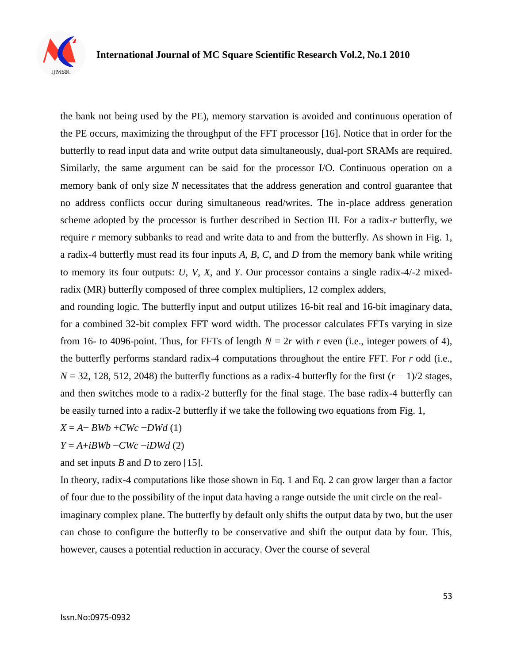

the bank not being used by the PE), memory starvation is avoided and continuous operation of the PE occurs, maximizing the throughput of the FFT processor [16]. Notice that in order for the butterfly to read input data and write output data simultaneously, dual-port SRAMs are required. Similarly, the same argument can be said for the processor I/O. Continuous operation on a memory bank of only size *N* necessitates that the address generation and control guarantee that no address conflicts occur during simultaneous read/writes. The in-place address generation scheme adopted by the processor is further described in Section III. For a radix-*r* butterfly, we require *r* memory subbanks to read and write data to and from the butterfly. As shown in Fig. 1, a radix-4 butterfly must read its four inputs *A*, *B*, *C*, and *D* from the memory bank while writing to memory its four outputs: *U*, *V*, *X*, and *Y*. Our processor contains a single radix-4/-2 mixedradix (MR) butterfly composed of three complex multipliers, 12 complex adders,

and rounding logic. The butterfly input and output utilizes 16-bit real and 16-bit imaginary data, for a combined 32-bit complex FFT word width. The processor calculates FFTs varying in size from 16- to 4096-point. Thus, for FFTs of length  $N = 2r$  with  $r$  even (i.e., integer powers of 4), the butterfly performs standard radix-4 computations throughout the entire FFT. For *r* odd (i.e., *N* = 32, 128, 512, 2048) the butterfly functions as a radix-4 butterfly for the first (*r* − 1)/2 stages, and then switches mode to a radix-2 butterfly for the final stage. The base radix-4 butterfly can be easily turned into a radix-2 butterfly if we take the following two equations from Fig. 1,

$$
X = A - B W b + C W c - D W d (1)
$$

*Y* = *A*+*iBWb* −*CWc* −*iDWd* (2)

and set inputs *B* and *D* to zero [15].

In theory, radix-4 computations like those shown in Eq. 1 and Eq. 2 can grow larger than a factor of four due to the possibility of the input data having a range outside the unit circle on the realimaginary complex plane. The butterfly by default only shifts the output data by two, but the user can chose to configure the butterfly to be conservative and shift the output data by four. This, however, causes a potential reduction in accuracy. Over the course of several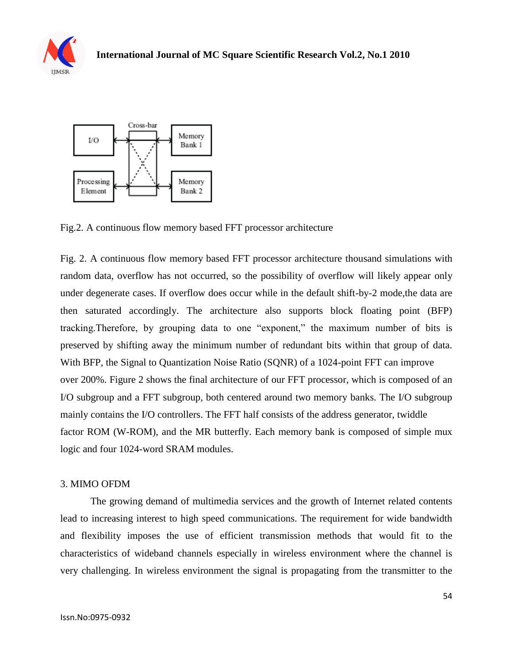



Fig.2. A continuous flow memory based FFT processor architecture

Fig. 2. A continuous flow memory based FFT processor architecture thousand simulations with random data, overflow has not occurred, so the possibility of overflow will likely appear only under degenerate cases. If overflow does occur while in the default shift-by-2 mode,the data are then saturated accordingly. The architecture also supports block floating point (BFP) tracking. Therefore, by grouping data to one "exponent," the maximum number of bits is preserved by shifting away the minimum number of redundant bits within that group of data. With BFP, the Signal to Quantization Noise Ratio (SQNR) of a 1024-point FFT can improve over 200%. Figure 2 shows the final architecture of our FFT processor, which is composed of an I/O subgroup and a FFT subgroup, both centered around two memory banks. The I/O subgroup mainly contains the I/O controllers. The FFT half consists of the address generator, twiddle factor ROM (W-ROM), and the MR butterfly. Each memory bank is composed of simple mux logic and four 1024-word SRAM modules.

## 3. MIMO OFDM

The growing demand of multimedia services and the growth of Internet related contents lead to increasing interest to high speed communications. The requirement for wide bandwidth and flexibility imposes the use of efficient transmission methods that would fit to the characteristics of wideband channels especially in wireless environment where the channel is very challenging. In wireless environment the signal is propagating from the transmitter to the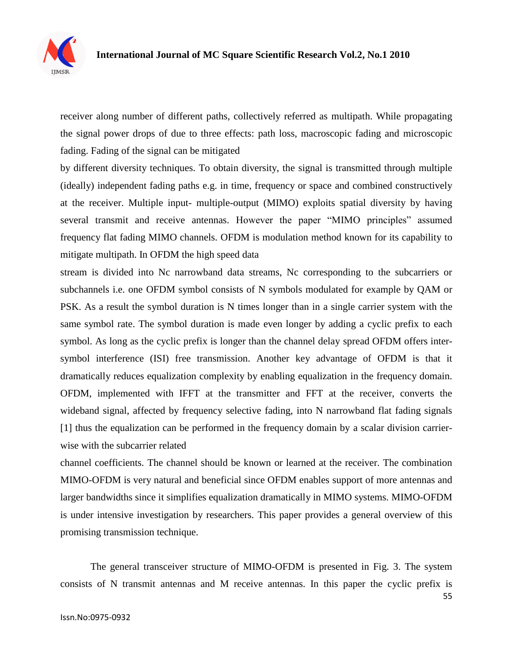

receiver along number of different paths, collectively referred as multipath. While propagating the signal power drops of due to three effects: path loss, macroscopic fading and microscopic fading. Fading of the signal can be mitigated

by different diversity techniques. To obtain diversity, the signal is transmitted through multiple (ideally) independent fading paths e.g. in time, frequency or space and combined constructively at the receiver. Multiple input- multiple-output (MIMO) exploits spatial diversity by having several transmit and receive antennas. However the paper "MIMO principles" assumed frequency flat fading MIMO channels. OFDM is modulation method known for its capability to mitigate multipath. In OFDM the high speed data

stream is divided into Nc narrowband data streams, Nc corresponding to the subcarriers or subchannels i.e. one OFDM symbol consists of N symbols modulated for example by QAM or PSK. As a result the symbol duration is N times longer than in a single carrier system with the same symbol rate. The symbol duration is made even longer by adding a cyclic prefix to each symbol. As long as the cyclic prefix is longer than the channel delay spread OFDM offers intersymbol interference (ISI) free transmission. Another key advantage of OFDM is that it dramatically reduces equalization complexity by enabling equalization in the frequency domain. OFDM, implemented with IFFT at the transmitter and FFT at the receiver, converts the wideband signal, affected by frequency selective fading, into N narrowband flat fading signals [1] thus the equalization can be performed in the frequency domain by a scalar division carrierwise with the subcarrier related

channel coefficients. The channel should be known or learned at the receiver. The combination MIMO-OFDM is very natural and beneficial since OFDM enables support of more antennas and larger bandwidths since it simplifies equalization dramatically in MIMO systems. MIMO-OFDM is under intensive investigation by researchers. This paper provides a general overview of this promising transmission technique.

The general transceiver structure of MIMO-OFDM is presented in Fig. 3. The system consists of N transmit antennas and M receive antennas. In this paper the cyclic prefix is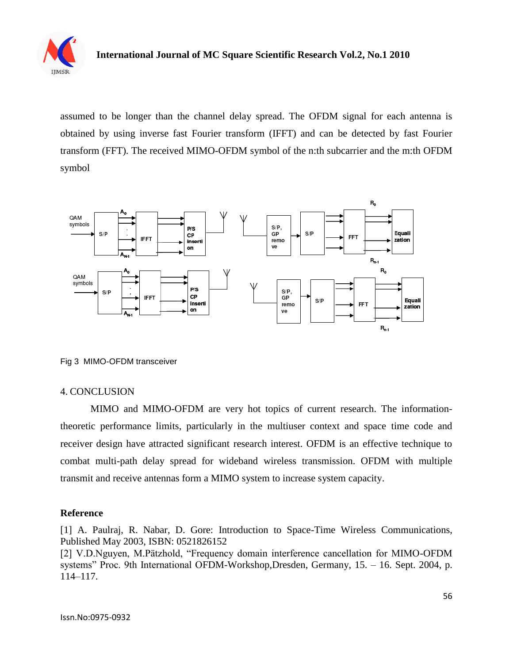

assumed to be longer than the channel delay spread. The OFDM signal for each antenna is obtained by using inverse fast Fourier transform (IFFT) and can be detected by fast Fourier transform (FFT). The received MIMO-OFDM symbol of the n:th subcarrier and the m:th OFDM symbol



Fig 3 MIMO-OFDM transceiver

## 4. CONCLUSION

MIMO and MIMO-OFDM are very hot topics of current research. The informationtheoretic performance limits, particularly in the multiuser context and space time code and receiver design have attracted significant research interest. OFDM is an effective technique to combat multi-path delay spread for wideband wireless transmission. OFDM with multiple transmit and receive antennas form a MIMO system to increase system capacity.

## **Reference**

[1] A. Paulraj, R. Nabar, D. Gore: Introduction to Space-Time Wireless Communications, Published May 2003, ISBN: 0521826152

[2] V.D.Nguyen, M.Pätzhold, "Frequency domain interference cancellation for MIMO-OFDM systems" Proc. 9th International OFDM-Workshop, Dresden, Germany, 15. - 16. Sept. 2004, p. 114–117.